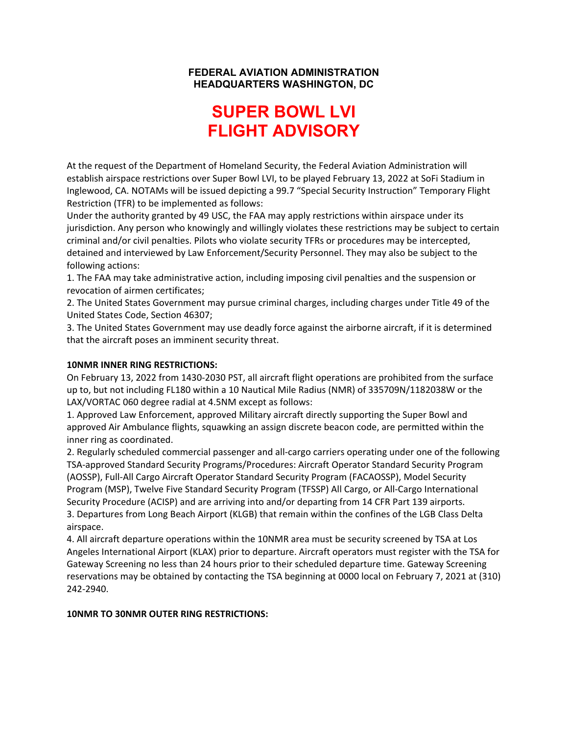#### **FEDERAL AVIATION ADMINISTRATION HEADQUARTERS WASHINGTON, DC**

# **SUPER BOWL LVI FLIGHT ADVISORY**

At the request of the Department of Homeland Security, the Federal Aviation Administration will establish airspace restrictions over Super Bowl LVI, to be played February 13, 2022 at SoFi Stadium in Inglewood, CA. NOTAMs will be issued depicting a 99.7 "Special Security Instruction" Temporary Flight Restriction (TFR) to be implemented as follows:

Under the authority granted by 49 USC, the FAA may apply restrictions within airspace under its jurisdiction. Any person who knowingly and willingly violates these restrictions may be subject to certain criminal and/or civil penalties. Pilots who violate security TFRs or procedures may be intercepted, detained and interviewed by Law Enforcement/Security Personnel. They may also be subject to the following actions:

1. The FAA may take administrative action, including imposing civil penalties and the suspension or revocation of airmen certificates;

2. The United States Government may pursue criminal charges, including charges under Title 49 of the United States Code, Section 46307;

3. The United States Government may use deadly force against the airborne aircraft, if it is determined that the aircraft poses an imminent security threat.

#### **10NMR INNER RING RESTRICTIONS:**

On February 13, 2022 from 1430-2030 PST, all aircraft flight operations are prohibited from the surface up to, but not including FL180 within a 10 Nautical Mile Radius (NMR) of 335709N/1182038W or the LAX/VORTAC 060 degree radial at 4.5NM except as follows:

1. Approved Law Enforcement, approved Military aircraft directly supporting the Super Bowl and approved Air Ambulance flights, squawking an assign discrete beacon code, are permitted within the inner ring as coordinated.

2. Regularly scheduled commercial passenger and all-cargo carriers operating under one of the following TSA-approved Standard Security Programs/Procedures: Aircraft Operator Standard Security Program (AOSSP), Full-All Cargo Aircraft Operator Standard Security Program (FACAOSSP), Model Security Program (MSP), Twelve Five Standard Security Program (TFSSP) All Cargo, or All-Cargo International Security Procedure (ACISP) and are arriving into and/or departing from 14 CFR Part 139 airports. 3. Departures from Long Beach Airport (KLGB) that remain within the confines of the LGB Class Delta airspace.

4. All aircraft departure operations within the 10NMR area must be security screened by TSA at Los Angeles International Airport (KLAX) prior to departure. Aircraft operators must register with the TSA for Gateway Screening no less than 24 hours prior to their scheduled departure time. Gateway Screening reservations may be obtained by contacting the TSA beginning at 0000 local on February 7, 2021 at (310) 242-2940.

#### **10NMR TO 30NMR OUTER RING RESTRICTIONS:**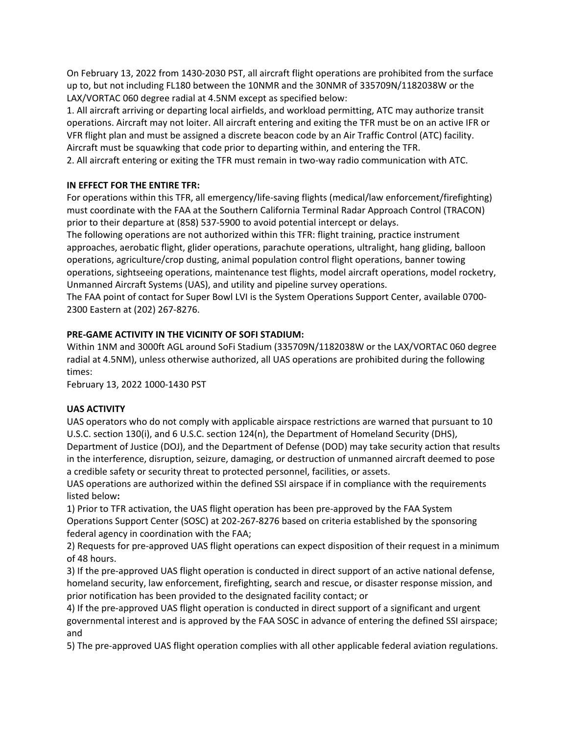On February 13, 2022 from 1430-2030 PST, all aircraft flight operations are prohibited from the surface up to, but not including FL180 between the 10NMR and the 30NMR of 335709N/1182038W or the LAX/VORTAC 060 degree radial at 4.5NM except as specified below:

1. All aircraft arriving or departing local airfields, and workload permitting, ATC may authorize transit operations. Aircraft may not loiter. All aircraft entering and exiting the TFR must be on an active IFR or VFR flight plan and must be assigned a discrete beacon code by an Air Traffic Control (ATC) facility. Aircraft must be squawking that code prior to departing within, and entering the TFR.

2. All aircraft entering or exiting the TFR must remain in two-way radio communication with ATC.

## **IN EFFECT FOR THE ENTIRE TFR:**

For operations within this TFR, all emergency/life-saving flights (medical/law enforcement/firefighting) must coordinate with the FAA at the Southern California Terminal Radar Approach Control (TRACON) prior to their departure at (858) 537-5900 to avoid potential intercept or delays.

The following operations are not authorized within this TFR: flight training, practice instrument approaches, aerobatic flight, glider operations, parachute operations, ultralight, hang gliding, balloon operations, agriculture/crop dusting, animal population control flight operations, banner towing operations, sightseeing operations, maintenance test flights, model aircraft operations, model rocketry, Unmanned Aircraft Systems (UAS), and utility and pipeline survey operations.

The FAA point of contact for Super Bowl LVI is the System Operations Support Center, available 0700- 2300 Eastern at (202) 267-8276.

#### **PRE-GAME ACTIVITY IN THE VICINITY OF SOFI STADIUM:**

Within 1NM and 3000ft AGL around SoFi Stadium (335709N/1182038W or the LAX/VORTAC 060 degree radial at 4.5NM), unless otherwise authorized, all UAS operations are prohibited during the following times:

February 13, 2022 1000-1430 PST

## **UAS ACTIVITY**

UAS operators who do not comply with applicable airspace restrictions are warned that pursuant to 10 U.S.C. section 130(i), and 6 U.S.C. section 124(n), the Department of Homeland Security (DHS), Department of Justice (DOJ), and the Department of Defense (DOD) may take security action that results in the interference, disruption, seizure, damaging, or destruction of unmanned aircraft deemed to pose a credible safety or security threat to protected personnel, facilities, or assets.

UAS operations are authorized within the defined SSI airspace if in compliance with the requirements listed below**:** 

1) Prior to TFR activation, the UAS flight operation has been pre-approved by the FAA System Operations Support Center (SOSC) at 202-267-8276 based on criteria established by the sponsoring federal agency in coordination with the FAA;

2) Requests for pre-approved UAS flight operations can expect disposition of their request in a minimum of 48 hours.

3) If the pre-approved UAS flight operation is conducted in direct support of an active national defense, homeland security, law enforcement, firefighting, search and rescue, or disaster response mission, and prior notification has been provided to the designated facility contact; or

4) If the pre-approved UAS flight operation is conducted in direct support of a significant and urgent governmental interest and is approved by the FAA SOSC in advance of entering the defined SSI airspace; and

5) The pre-approved UAS flight operation complies with all other applicable federal aviation regulations.